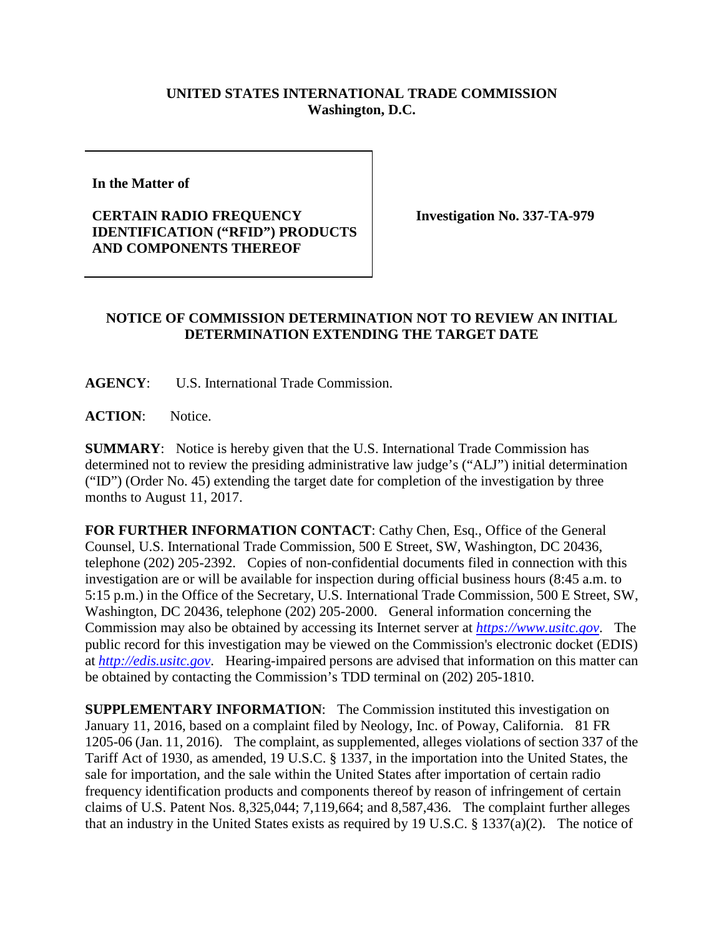## **UNITED STATES INTERNATIONAL TRADE COMMISSION Washington, D.C.**

**In the Matter of** 

## **CERTAIN RADIO FREQUENCY IDENTIFICATION ("RFID") PRODUCTS AND COMPONENTS THEREOF**

**Investigation No. 337-TA-979**

## **NOTICE OF COMMISSION DETERMINATION NOT TO REVIEW AN INITIAL DETERMINATION EXTENDING THE TARGET DATE**

**AGENCY**: U.S. International Trade Commission.

ACTION: Notice.

**SUMMARY**: Notice is hereby given that the U.S. International Trade Commission has determined not to review the presiding administrative law judge's ("ALJ") initial determination ("ID") (Order No. 45) extending the target date for completion of the investigation by three months to August 11, 2017.

**FOR FURTHER INFORMATION CONTACT**: Cathy Chen, Esq., Office of the General Counsel, U.S. International Trade Commission, 500 E Street, SW, Washington, DC 20436, telephone (202) 205-2392. Copies of non-confidential documents filed in connection with this investigation are or will be available for inspection during official business hours (8:45 a.m. to 5:15 p.m.) in the Office of the Secretary, U.S. International Trade Commission, 500 E Street, SW, Washington, DC 20436, telephone (202) 205-2000. General information concerning the Commission may also be obtained by accessing its Internet server at *[https://www.usitc.gov](https://www.usitc.gov/)*. The public record for this investigation may be viewed on the Commission's electronic docket (EDIS) at *[http://edis.usitc.gov](http://edis.usitc.gov/)*. Hearing-impaired persons are advised that information on this matter can be obtained by contacting the Commission's TDD terminal on (202) 205-1810.

**SUPPLEMENTARY INFORMATION**: The Commission instituted this investigation on January 11, 2016, based on a complaint filed by Neology, Inc. of Poway, California. 81 FR 1205-06 (Jan. 11, 2016). The complaint, as supplemented, alleges violations of section 337 of the Tariff Act of 1930, as amended, 19 U.S.C. § 1337, in the importation into the United States, the sale for importation, and the sale within the United States after importation of certain radio frequency identification products and components thereof by reason of infringement of certain claims of U.S. Patent Nos. 8,325,044; 7,119,664; and 8,587,436. The complaint further alleges that an industry in the United States exists as required by 19 U.S.C. § 1337(a)(2). The notice of